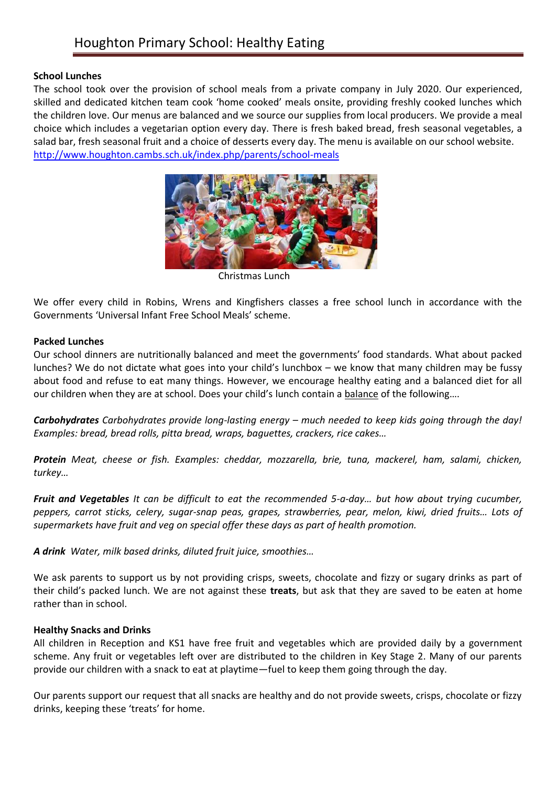# Houghton Primary School: Healthy Eating

## **School Lunches**

The school took over the provision of school meals from a private company in July 2020. Our experienced, skilled and dedicated kitchen team cook 'home cooked' meals onsite, providing freshly cooked lunches which the children love. Our menus are balanced and we source our supplies from local producers. We provide a meal choice which includes a vegetarian option every day. There is fresh baked bread, fresh seasonal vegetables, a salad bar, fresh seasonal fruit and a choice of desserts every day. The menu is available on our school website. <http://www.houghton.cambs.sch.uk/index.php/parents/school-meals>



Christmas Lunch

We offer every child in Robins, Wrens and Kingfishers classes a free school lunch in accordance with the Governments 'Universal Infant Free School Meals' scheme.

## **Packed Lunches**

Our school dinners are nutritionally balanced and meet the governments' food standards. What about packed lunches? We do not dictate what goes into your child's lunchbox – we know that many children may be fussy about food and refuse to eat many things. However, we encourage healthy eating and a balanced diet for all our children when they are at school. Does your child's lunch contain a balance of the following….

*Carbohydrates Carbohydrates provide long-lasting energy – much needed to keep kids going through the day! Examples: bread, bread rolls, pitta bread, wraps, baguettes, crackers, rice cakes…*

*Protein Meat, cheese or fish. Examples: cheddar, mozzarella, brie, tuna, mackerel, ham, salami, chicken, turkey…*

*Fruit and Vegetables It can be difficult to eat the recommended 5-a-day… but how about trying cucumber, peppers, carrot sticks, celery, sugar-snap peas, grapes, strawberries, pear, melon, kiwi, dried fruits… Lots of supermarkets have fruit and veg on special offer these days as part of health promotion.*

*A drink Water, milk based drinks, diluted fruit juice, smoothies…*

We ask parents to support us by not providing crisps, sweets, chocolate and fizzy or sugary drinks as part of their child's packed lunch. We are not against these **treats**, but ask that they are saved to be eaten at home rather than in school.

#### **Healthy Snacks and Drinks**

All children in Reception and KS1 have free fruit and vegetables which are provided daily by a government scheme. Any fruit or vegetables left over are distributed to the children in Key Stage 2. Many of our parents provide our children with a snack to eat at playtime—fuel to keep them going through the day.

Our parents support our request that all snacks are healthy and do not provide sweets, crisps, chocolate or fizzy drinks, keeping these 'treats' for home.